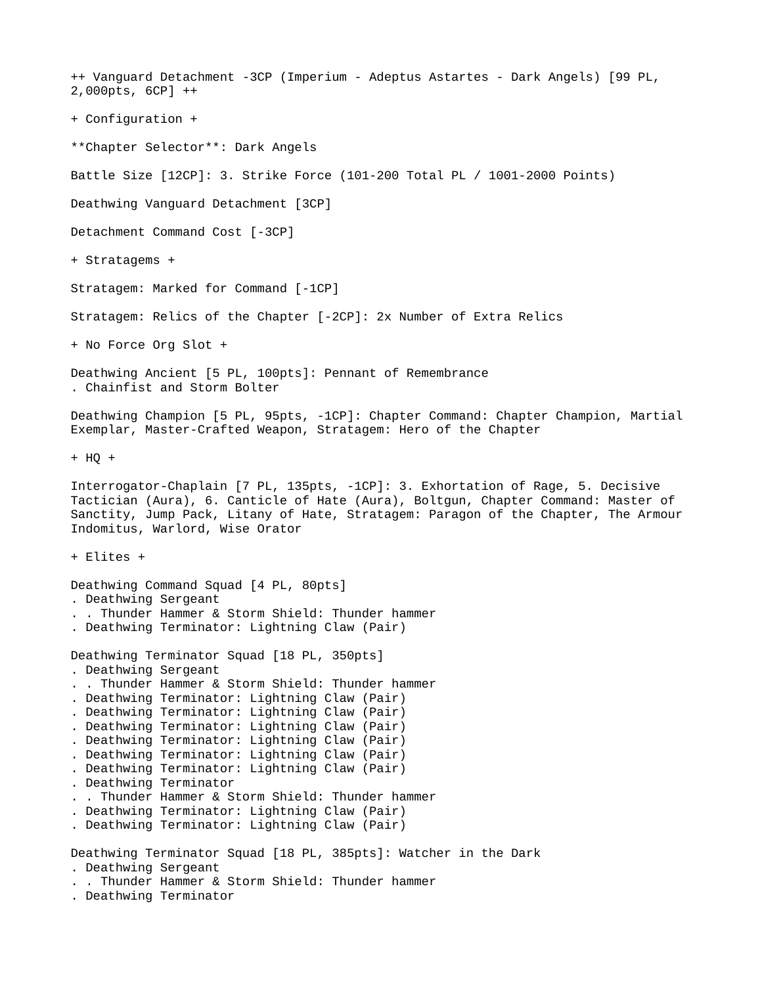++ Vanguard Detachment -3CP (Imperium - Adeptus Astartes - Dark Angels) [99 PL, 2,000pts, 6CP] ++ + Configuration + \*\*Chapter Selector\*\*: Dark Angels Battle Size [12CP]: 3. Strike Force (101-200 Total PL / 1001-2000 Points) Deathwing Vanguard Detachment [3CP] Detachment Command Cost [-3CP] + Stratagems + Stratagem: Marked for Command [-1CP] Stratagem: Relics of the Chapter [-2CP]: 2x Number of Extra Relics + No Force Org Slot + Deathwing Ancient [5 PL, 100pts]: Pennant of Remembrance . Chainfist and Storm Bolter Deathwing Champion [5 PL, 95pts, -1CP]: Chapter Command: Chapter Champion, Martial Exemplar, Master-Crafted Weapon, Stratagem: Hero of the Chapter  $+$  HO  $+$ Interrogator-Chaplain [7 PL, 135pts, -1CP]: 3. Exhortation of Rage, 5. Decisive Tactician (Aura), 6. Canticle of Hate (Aura), Boltgun, Chapter Command: Master of Sanctity, Jump Pack, Litany of Hate, Stratagem: Paragon of the Chapter, The Armour Indomitus, Warlord, Wise Orator + Elites + Deathwing Command Squad [4 PL, 80pts] . Deathwing Sergeant . . Thunder Hammer & Storm Shield: Thunder hammer . Deathwing Terminator: Lightning Claw (Pair) Deathwing Terminator Squad [18 PL, 350pts] . Deathwing Sergeant . . Thunder Hammer & Storm Shield: Thunder hammer . Deathwing Terminator: Lightning Claw (Pair) . Deathwing Terminator: Lightning Claw (Pair) . Deathwing Terminator: Lightning Claw (Pair) . Deathwing Terminator: Lightning Claw (Pair) . Deathwing Terminator: Lightning Claw (Pair) . Deathwing Terminator: Lightning Claw (Pair) . Deathwing Terminator . . Thunder Hammer & Storm Shield: Thunder hammer . Deathwing Terminator: Lightning Claw (Pair) . Deathwing Terminator: Lightning Claw (Pair) Deathwing Terminator Squad [18 PL, 385pts]: Watcher in the Dark . Deathwing Sergeant . . Thunder Hammer & Storm Shield: Thunder hammer . Deathwing Terminator